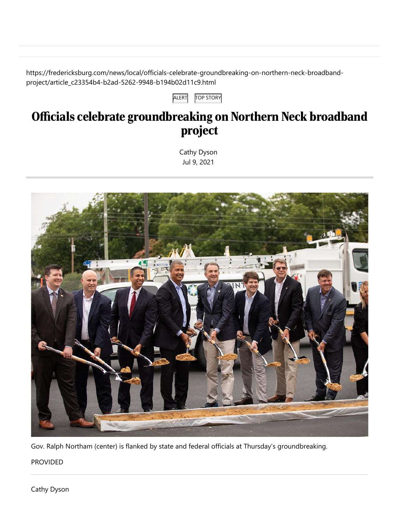https://fredericksburg.com/news/local/officials-celebrate-groundbreaking-on-northern-neck-broadbandproject/article\_c23354b4-b2ad-5262-9948-b194b02d11c9.html

ALERT **TOP STORY** 

## Officials celebrate groundbreaking on Northern Neck broadband project

[Cathy Dyson](https://fredericksburg.com/users/profile/CDyson) Jul 9, 2021



Gov. Ralph Northam (center) is flanked by state and federal officials at Thursday's groundbreaking.

PROVIDED

[Cathy Dyson](https://fredericksburg.com/users/profile/CDyson)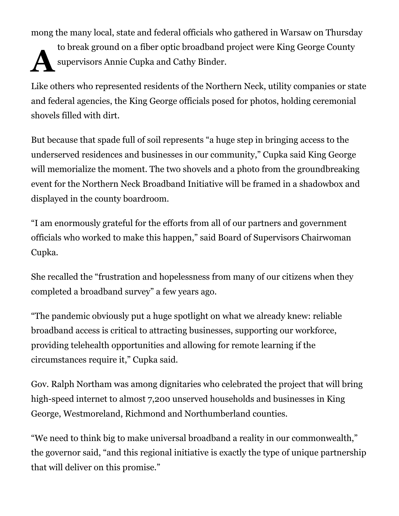mong the many local, state and federal officials who gathered in Warsaw on Thursday

 $\mathbf{A}^{^{\mathfrak{m}}}$ to break ground on a fiber optic broadband project were King George County supervisors Annie Cupka and Cathy Binder.

Like others who represented residents of the Northern Neck, utility companies or state and federal agencies, the King George officials posed for photos, holding ceremonial shovels filled with dirt.

But because that spade full of soil represents "a huge step in bringing access to the underserved residences and businesses in our community," Cupka said King George will memorialize the moment. The two shovels and a photo from the groundbreaking event for the Northern Neck Broadband Initiative will be framed in a shadowbox and displayed in the county boardroom.

"I am enormously grateful for the efforts from all of our partners and government officials who worked to make this happen," said Board of Supervisors Chairwoman Cupka.

She recalled the "frustration and hopelessness from many of our citizens when they completed a broadband survey" a few years ago.

"The pandemic obviously put a huge spotlight on what we already knew: reliable broadband access is critical to attracting businesses, supporting our workforce, providing telehealth opportunities and allowing for remote learning if the circumstances require it," Cupka said.

Gov. Ralph Northam was among dignitaries who celebrated the project that will bring high-speed internet to almost 7,200 unserved households and businesses in King George, Westmoreland, Richmond and Northumberland counties.

"We need to think big to make universal broadband a reality in our commonwealth," the governor said, "and this regional initiative is exactly the type of unique partnership that will deliver on this promise."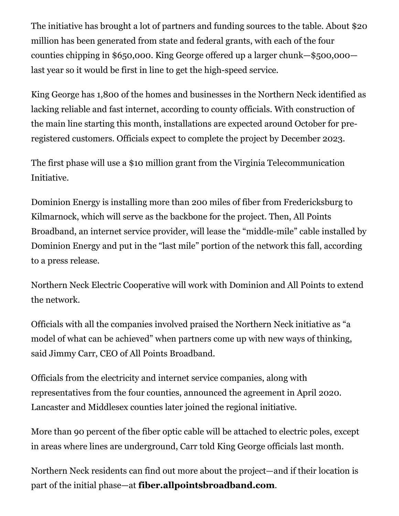The initiative has brought a lot of partners and funding sources to the table. About \$20 million has been generated from state and federal grants, with each of the four counties chipping in \$650,000. King George offered up a larger chunk—\$500,000 last year so it would be first in line to get the high-speed service.

King George has 1,800 of the homes and businesses in the Northern Neck identified as lacking reliable and fast internet, according to county officials. With construction of the main line starting this month, installations are expected around October for preregistered customers. Officials expect to complete the project by December 2023.

The first phase will use a \$10 million grant from the Virginia Telecommunication Initiative.

Dominion Energy is installing more than 200 miles of fiber from Fredericksburg to Kilmarnock, which will serve as the backbone for the project. Then, All Points Broadband, an internet service provider, will lease the "middle-mile" cable installed by Dominion Energy and put in the "last mile" portion of the network this fall, according to a press release.

Northern Neck Electric Cooperative will work with Dominion and All Points to extend the network.

Officials with all the companies involved praised the Northern Neck initiative as "a model of what can be achieved" when partners come up with new ways of thinking, said Jimmy Carr, CEO of All Points Broadband.

Officials from the electricity and internet service companies, along with representatives from the four counties, announced the agreement in April 2020. Lancaster and Middlesex counties later joined the regional initiative.

More than 90 percent of the fiber optic cable will be attached to electric poles, except in areas where lines are underground, Carr told King George officials last month.

Northern Neck residents can find out more about the project—and if their location is part of the initial phase—at **[fiber.allpointsbroadband.com](https://fiber.allpointsbroadband.com/)**.